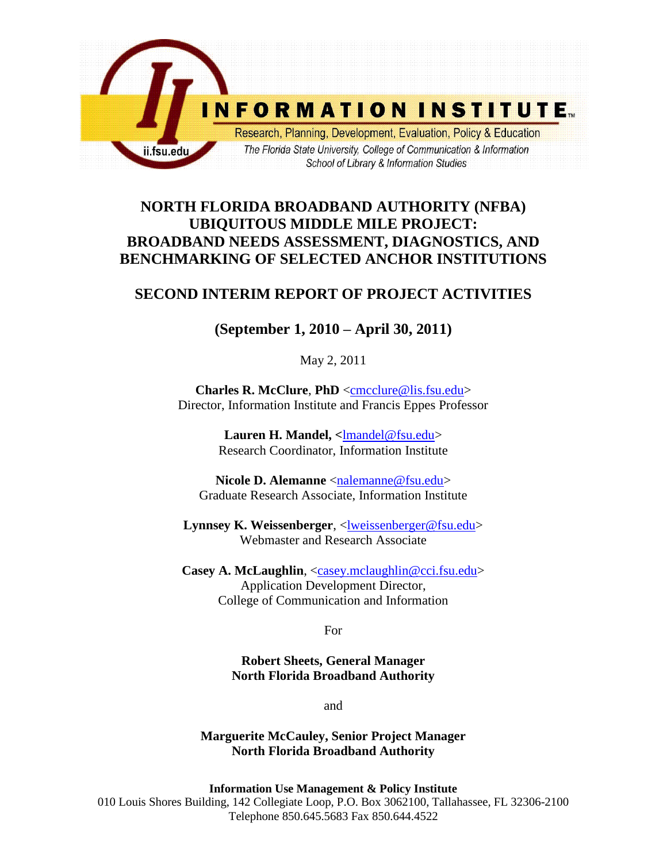

# **NORTH FLORIDA BROADBAND AUTHORITY (NFBA) UBIQUITOUS MIDDLE MILE PROJECT: BROADBAND NEEDS ASSESSMENT, DIAGNOSTICS, AND BENCHMARKING OF SELECTED ANCHOR INSTITUTIONS**

## **SECOND INTERIM REPORT OF PROJECT ACTIVITIES**

# **(September 1, 2010 – April 30, 2011)**

May 2, 2011

**Charles R. McClure**, **PhD** [<cmcclure@lis.fsu.edu>](mailto:cmcclure@lis.fsu.edu) Director, Information Institute and Francis Eppes Professor

> Lauren H. Mandel, <**Imandel@fsu.edu>** Research Coordinator, Information Institute

Nicole D. Alemanne [<nalemanne@fsu.edu>](mailto:nalemanne@fsu.edu) Graduate Research Associate, Information Institute

**Lynnsey K. Weissenberger**, [<lweissenberger@fsu.edu>](mailto:lweissenberger@fsu.edu) Webmaster and Research Associate

**Casey A. McLaughlin**, [<casey.mclaughlin@cci.fsu.edu>](mailto:casey.mclaughlin@cci.fsu.edu) Application Development Director, College of Communication and Information

For

**Robert Sheets, General Manager North Florida Broadband Authority**

and

**Marguerite McCauley, Senior Project Manager North Florida Broadband Authority**

**Information Use Management & Policy Institute** 010 Louis Shores Building, 142 Collegiate Loop, P.O. Box 3062100, Tallahassee, FL 32306-2100 Telephone 850.645.5683 Fax 850.644.4522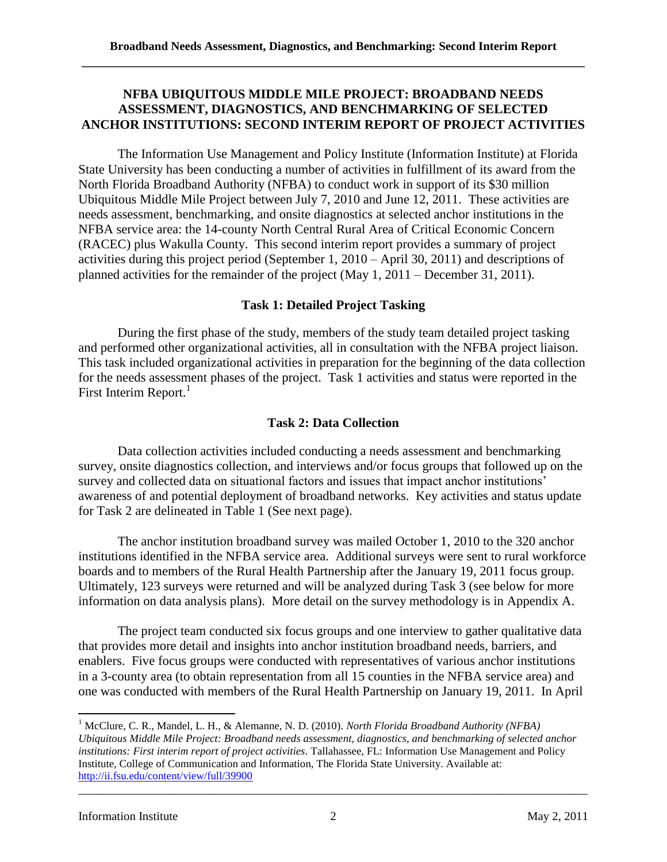## **NFBA UBIQUITOUS MIDDLE MILE PROJECT: BROADBAND NEEDS ASSESSMENT, DIAGNOSTICS, AND BENCHMARKING OF SELECTED ANCHOR INSTITUTIONS: SECOND INTERIM REPORT OF PROJECT ACTIVITIES**

The Information Use Management and Policy Institute (Information Institute) at Florida State University has been conducting a number of activities in fulfillment of its award from the North Florida Broadband Authority (NFBA) to conduct work in support of its \$30 million Ubiquitous Middle Mile Project between July 7, 2010 and June 12, 2011. These activities are needs assessment, benchmarking, and onsite diagnostics at selected anchor institutions in the NFBA service area: the 14-county North Central Rural Area of Critical Economic Concern (RACEC) plus Wakulla County. This second interim report provides a summary of project activities during this project period (September 1, 2010 – April 30, 2011) and descriptions of planned activities for the remainder of the project (May 1, 2011 – December 31, 2011).

## **Task 1: Detailed Project Tasking**

During the first phase of the study, members of the study team detailed project tasking and performed other organizational activities, all in consultation with the NFBA project liaison. This task included organizational activities in preparation for the beginning of the data collection for the needs assessment phases of the project. Task 1 activities and status were reported in the First Interim Report. $<sup>1</sup>$ </sup>

## **Task 2: Data Collection**

Data collection activities included conducting a needs assessment and benchmarking survey, onsite diagnostics collection, and interviews and/or focus groups that followed up on the survey and collected data on situational factors and issues that impact anchor institutions' awareness of and potential deployment of broadband networks. Key activities and status update for Task 2 are delineated in Table 1 (See next page).

The anchor institution broadband survey was mailed October 1, 2010 to the 320 anchor institutions identified in the NFBA service area. Additional surveys were sent to rural workforce boards and to members of the Rural Health Partnership after the January 19, 2011 focus group. Ultimately, 123 surveys were returned and will be analyzed during Task 3 (see below for more information on data analysis plans). More detail on the survey methodology is in Appendix A.

The project team conducted six focus groups and one interview to gather qualitative data that provides more detail and insights into anchor institution broadband needs, barriers, and enablers. Five focus groups were conducted with representatives of various anchor institutions in a 3-county area (to obtain representation from all 15 counties in the NFBA service area) and one was conducted with members of the Rural Health Partnership on January 19, 2011. In April

 $\overline{\phantom{a}}$ 

<sup>1</sup> McClure, C. R., Mandel, L. H., & Alemanne, N. D. (2010). *North Florida Broadband Authority (NFBA) Ubiquitous Middle Mile Project: Broadband needs assessment, diagnostics, and benchmarking of selected anchor institutions: First interim report of project activities*. Tallahassee, FL: Information Use Management and Policy Institute, College of Communication and Information, The Florida State University. Available at: <http://ii.fsu.edu/content/view/full/39900>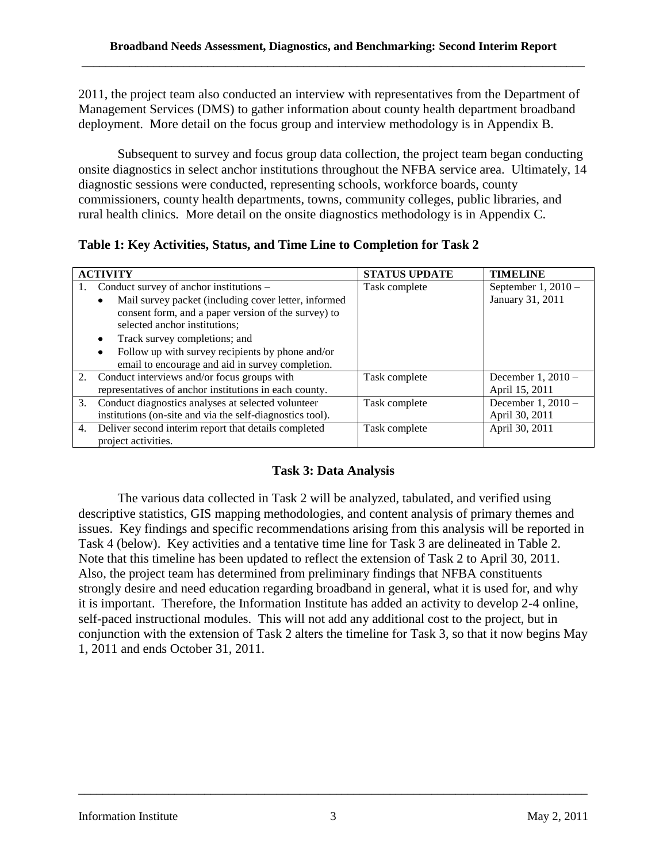2011, the project team also conducted an interview with representatives from the Department of Management Services (DMS) to gather information about county health department broadband deployment. More detail on the focus group and interview methodology is in Appendix B.

Subsequent to survey and focus group data collection, the project team began conducting onsite diagnostics in select anchor institutions throughout the NFBA service area. Ultimately, 14 diagnostic sessions were conducted, representing schools, workforce boards, county commissioners, county health departments, towns, community colleges, public libraries, and rural health clinics. More detail on the onsite diagnostics methodology is in Appendix C.

**Table 1: Key Activities, Status, and Time Line to Completion for Task 2**

| <b>ACTIVITY</b> |                                                           | <b>STATUS UPDATE</b> | <b>TIMELINE</b>     |
|-----------------|-----------------------------------------------------------|----------------------|---------------------|
|                 | Conduct survey of anchor institutions –                   | Task complete        | September $1,2010-$ |
|                 | Mail survey packet (including cover letter, informed      |                      | January 31, 2011    |
|                 | consent form, and a paper version of the survey) to       |                      |                     |
|                 | selected anchor institutions;                             |                      |                     |
|                 | Track survey completions; and                             |                      |                     |
|                 | Follow up with survey recipients by phone and/or          |                      |                     |
|                 | email to encourage and aid in survey completion.          |                      |                     |
| 2.              | Conduct interviews and/or focus groups with               | Task complete        | December 1, 2010 -  |
|                 | representatives of anchor institutions in each county.    |                      | April 15, 2011      |
| 3.              | Conduct diagnostics analyses at selected volunteer        | Task complete        | December 1, 2010 -  |
|                 | institutions (on-site and via the self-diagnostics tool). |                      | April 30, 2011      |
| 4.              | Deliver second interim report that details completed      | Task complete        | April 30, 2011      |
|                 | project activities.                                       |                      |                     |

## **Task 3: Data Analysis**

The various data collected in Task 2 will be analyzed, tabulated, and verified using descriptive statistics, GIS mapping methodologies, and content analysis of primary themes and issues. Key findings and specific recommendations arising from this analysis will be reported in Task 4 (below). Key activities and a tentative time line for Task 3 are delineated in Table 2. Note that this timeline has been updated to reflect the extension of Task 2 to April 30, 2011. Also, the project team has determined from preliminary findings that NFBA constituents strongly desire and need education regarding broadband in general, what it is used for, and why it is important. Therefore, the Information Institute has added an activity to develop 2-4 online, self-paced instructional modules. This will not add any additional cost to the project, but in conjunction with the extension of Task 2 alters the timeline for Task 3, so that it now begins May 1, 2011 and ends October 31, 2011.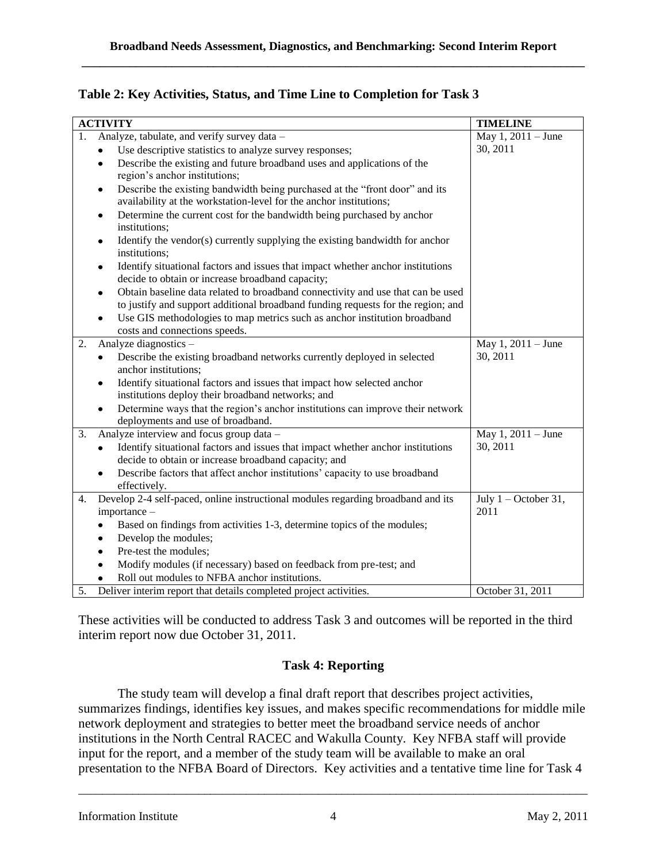| Table 2: Key Activities, Status, and Time Line to Completion for Task 3 |  |  |
|-------------------------------------------------------------------------|--|--|
|-------------------------------------------------------------------------|--|--|

| <b>ACTIVITY</b>                                   |                                                                                                                                                  | <b>TIMELINE</b>                |
|---------------------------------------------------|--------------------------------------------------------------------------------------------------------------------------------------------------|--------------------------------|
| Analyze, tabulate, and verify survey data -<br>1. |                                                                                                                                                  | May 1, 2011 – June             |
|                                                   | Use descriptive statistics to analyze survey responses;<br>$\bullet$                                                                             | 30, 2011                       |
|                                                   | Describe the existing and future broadband uses and applications of the<br>$\bullet$                                                             |                                |
|                                                   | region's anchor institutions;                                                                                                                    |                                |
|                                                   | Describe the existing bandwidth being purchased at the "front door" and its<br>$\bullet$                                                         |                                |
|                                                   | availability at the workstation-level for the anchor institutions;                                                                               |                                |
|                                                   | Determine the current cost for the bandwidth being purchased by anchor<br>$\bullet$<br>institutions;                                             |                                |
|                                                   | Identify the vendor(s) currently supplying the existing bandwidth for anchor<br>$\bullet$<br>institutions;                                       |                                |
|                                                   | Identify situational factors and issues that impact whether anchor institutions<br>$\bullet$<br>decide to obtain or increase broadband capacity; |                                |
|                                                   | Obtain baseline data related to broadband connectivity and use that can be used<br>$\bullet$                                                     |                                |
|                                                   | to justify and support additional broadband funding requests for the region; and                                                                 |                                |
|                                                   | Use GIS methodologies to map metrics such as anchor institution broadband<br>$\bullet$                                                           |                                |
|                                                   | costs and connections speeds.                                                                                                                    |                                |
| 2.                                                | Analyze diagnostics -                                                                                                                            | May 1, 2011 – June             |
|                                                   | Describe the existing broadband networks currently deployed in selected<br>٠                                                                     | 30, 2011                       |
|                                                   | anchor institutions;                                                                                                                             |                                |
|                                                   | Identify situational factors and issues that impact how selected anchor<br>$\bullet$                                                             |                                |
|                                                   | institutions deploy their broadband networks; and                                                                                                |                                |
|                                                   | Determine ways that the region's anchor institutions can improve their network<br>$\bullet$                                                      |                                |
|                                                   | deployments and use of broadband.                                                                                                                |                                |
| 3.                                                | Analyze interview and focus group data -                                                                                                         | May 1, 2011 - June<br>30, 2011 |
|                                                   | Identify situational factors and issues that impact whether anchor institutions<br>٠<br>decide to obtain or increase broadband capacity; and     |                                |
|                                                   | Describe factors that affect anchor institutions' capacity to use broadband                                                                      |                                |
|                                                   | effectively.                                                                                                                                     |                                |
| 4.                                                | Develop 2-4 self-paced, online instructional modules regarding broadband and its                                                                 | July $1$ – October 31,         |
|                                                   | importance -                                                                                                                                     | 2011                           |
|                                                   | Based on findings from activities 1-3, determine topics of the modules;                                                                          |                                |
|                                                   | Develop the modules;                                                                                                                             |                                |
|                                                   | Pre-test the modules;                                                                                                                            |                                |
|                                                   | Modify modules (if necessary) based on feedback from pre-test; and                                                                               |                                |
|                                                   | Roll out modules to NFBA anchor institutions.                                                                                                    |                                |
| 5.                                                | Deliver interim report that details completed project activities.                                                                                | October 31, 2011               |

These activities will be conducted to address Task 3 and outcomes will be reported in the third interim report now due October 31, 2011.

## **Task 4: Reporting**

The study team will develop a final draft report that describes project activities, summarizes findings, identifies key issues, and makes specific recommendations for middle mile network deployment and strategies to better meet the broadband service needs of anchor institutions in the North Central RACEC and Wakulla County. Key NFBA staff will provide input for the report, and a member of the study team will be available to make an oral presentation to the NFBA Board of Directors. Key activities and a tentative time line for Task 4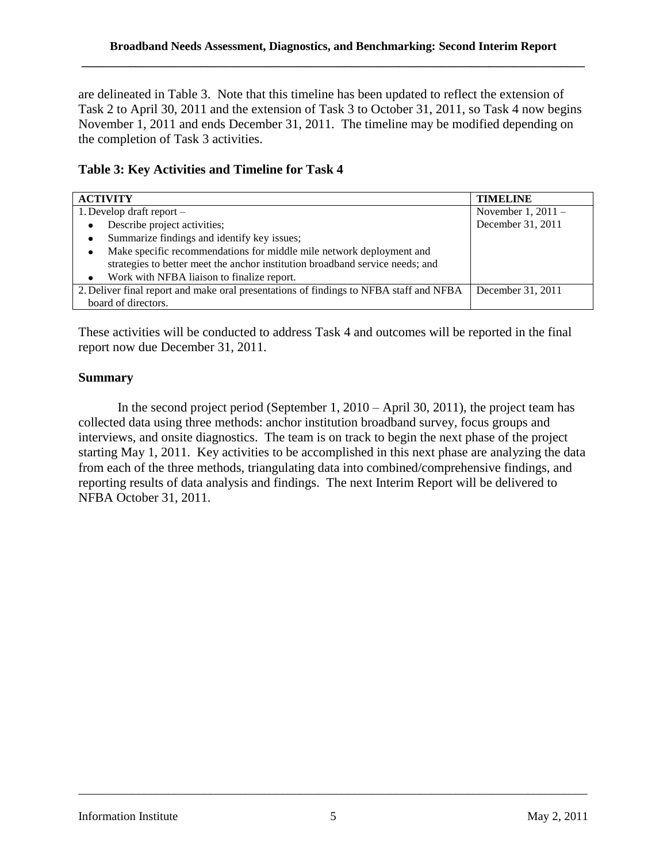are delineated in Table 3. Note that this timeline has been updated to reflect the extension of Task 2 to April 30, 2011 and the extension of Task 3 to October 31, 2011, so Task 4 now begins November 1, 2011 and ends December 31, 2011. The timeline may be modified depending on the completion of Task 3 activities.

### **Table 3: Key Activities and Timeline for Task 4**

| <b>ACTIVITY</b>                                                                        | <b>TIMELINE</b>      |
|----------------------------------------------------------------------------------------|----------------------|
| 1. Develop draft report $-$                                                            | November 1, $2011 -$ |
| Describe project activities;                                                           | December 31, 2011    |
| Summarize findings and identify key issues;                                            |                      |
| Make specific recommendations for middle mile network deployment and<br>٠              |                      |
| strategies to better meet the anchor institution broadband service needs; and          |                      |
| Work with NFBA liaison to finalize report.<br>٠                                        |                      |
| 2. Deliver final report and make oral presentations of findings to NFBA staff and NFBA | December 31, 2011    |
| board of directors.                                                                    |                      |

These activities will be conducted to address Task 4 and outcomes will be reported in the final report now due December 31, 2011.

## **Summary**

In the second project period (September 1, 2010 – April 30, 2011), the project team has collected data using three methods: anchor institution broadband survey, focus groups and interviews, and onsite diagnostics. The team is on track to begin the next phase of the project starting May 1, 2011. Key activities to be accomplished in this next phase are analyzing the data from each of the three methods, triangulating data into combined/comprehensive findings, and reporting results of data analysis and findings. The next Interim Report will be delivered to NFBA October 31, 2011.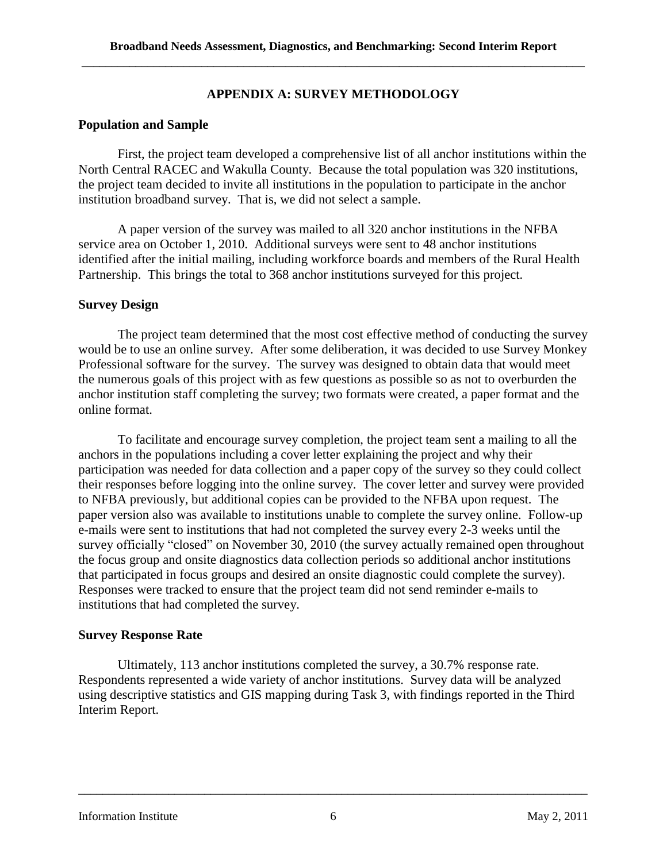### **APPENDIX A: SURVEY METHODOLOGY**

### **Population and Sample**

First, the project team developed a comprehensive list of all anchor institutions within the North Central RACEC and Wakulla County. Because the total population was 320 institutions, the project team decided to invite all institutions in the population to participate in the anchor institution broadband survey. That is, we did not select a sample.

A paper version of the survey was mailed to all 320 anchor institutions in the NFBA service area on October 1, 2010. Additional surveys were sent to 48 anchor institutions identified after the initial mailing, including workforce boards and members of the Rural Health Partnership. This brings the total to 368 anchor institutions surveyed for this project.

### **Survey Design**

The project team determined that the most cost effective method of conducting the survey would be to use an online survey. After some deliberation, it was decided to use Survey Monkey Professional software for the survey. The survey was designed to obtain data that would meet the numerous goals of this project with as few questions as possible so as not to overburden the anchor institution staff completing the survey; two formats were created, a paper format and the online format.

To facilitate and encourage survey completion, the project team sent a mailing to all the anchors in the populations including a cover letter explaining the project and why their participation was needed for data collection and a paper copy of the survey so they could collect their responses before logging into the online survey. The cover letter and survey were provided to NFBA previously, but additional copies can be provided to the NFBA upon request. The paper version also was available to institutions unable to complete the survey online. Follow-up e-mails were sent to institutions that had not completed the survey every 2-3 weeks until the survey officially "closed" on November 30, 2010 (the survey actually remained open throughout the focus group and onsite diagnostics data collection periods so additional anchor institutions that participated in focus groups and desired an onsite diagnostic could complete the survey). Responses were tracked to ensure that the project team did not send reminder e-mails to institutions that had completed the survey.

#### **Survey Response Rate**

Ultimately, 113 anchor institutions completed the survey, a 30.7% response rate. Respondents represented a wide variety of anchor institutions. Survey data will be analyzed using descriptive statistics and GIS mapping during Task 3, with findings reported in the Third Interim Report.

#### Information Institute 6 May 2, 2011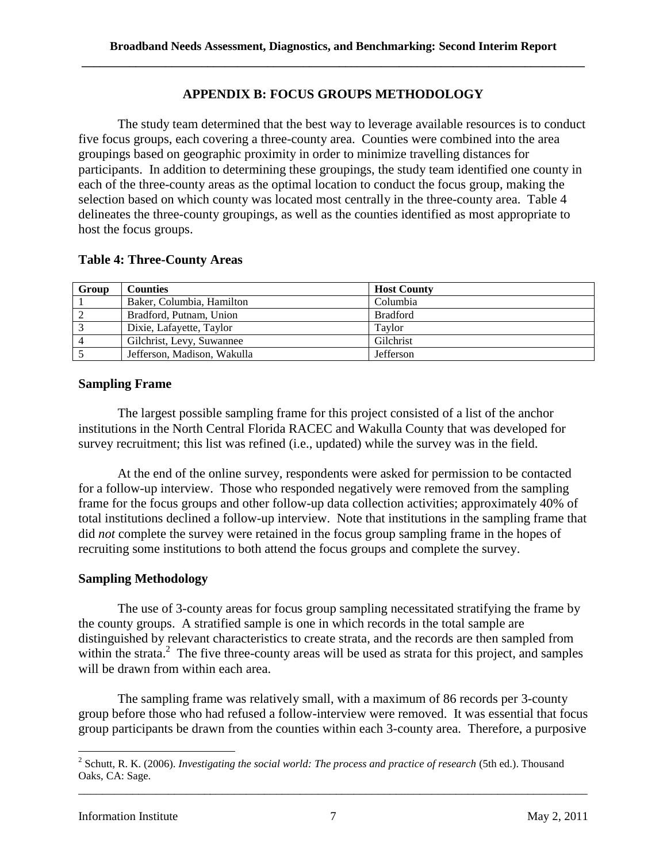## **APPENDIX B: FOCUS GROUPS METHODOLOGY**

The study team determined that the best way to leverage available resources is to conduct five focus groups, each covering a three-county area. Counties were combined into the area groupings based on geographic proximity in order to minimize travelling distances for participants. In addition to determining these groupings, the study team identified one county in each of the three-county areas as the optimal location to conduct the focus group, making the selection based on which county was located most centrally in the three-county area. Table 4 delineates the three-county groupings, as well as the counties identified as most appropriate to host the focus groups.

#### **Table 4: Three-County Areas**

| Group          | <b>Counties</b>             | <b>Host County</b> |
|----------------|-----------------------------|--------------------|
|                | Baker, Columbia, Hamilton   | Columbia           |
|                | Bradford, Putnam, Union     | <b>Bradford</b>    |
| $\overline{3}$ | Dixie, Lafayette, Taylor    | Taylor             |
| $\overline{4}$ | Gilchrist, Levy, Suwannee   | Gilchrist          |
|                | Jefferson, Madison, Wakulla | Jefferson          |

## **Sampling Frame**

The largest possible sampling frame for this project consisted of a list of the anchor institutions in the North Central Florida RACEC and Wakulla County that was developed for survey recruitment; this list was refined (i.e., updated) while the survey was in the field.

At the end of the online survey, respondents were asked for permission to be contacted for a follow-up interview. Those who responded negatively were removed from the sampling frame for the focus groups and other follow-up data collection activities; approximately 40% of total institutions declined a follow-up interview. Note that institutions in the sampling frame that did *not* complete the survey were retained in the focus group sampling frame in the hopes of recruiting some institutions to both attend the focus groups and complete the survey.

## **Sampling Methodology**

The use of 3-county areas for focus group sampling necessitated stratifying the frame by the county groups. A stratified sample is one in which records in the total sample are distinguished by relevant characteristics to create strata, and the records are then sampled from within the strata. $2$  The five three-county areas will be used as strata for this project, and samples will be drawn from within each area.

The sampling frame was relatively small, with a maximum of 86 records per 3-county group before those who had refused a follow-interview were removed. It was essential that focus group participants be drawn from the counties within each 3-county area. Therefore, a purposive

 $\overline{\phantom{a}}$ 

<sup>&</sup>lt;sup>2</sup> Schutt, R. K. (2006). *Investigating the social world: The process and practice of research* (5th ed.). Thousand Oaks, CA: Sage.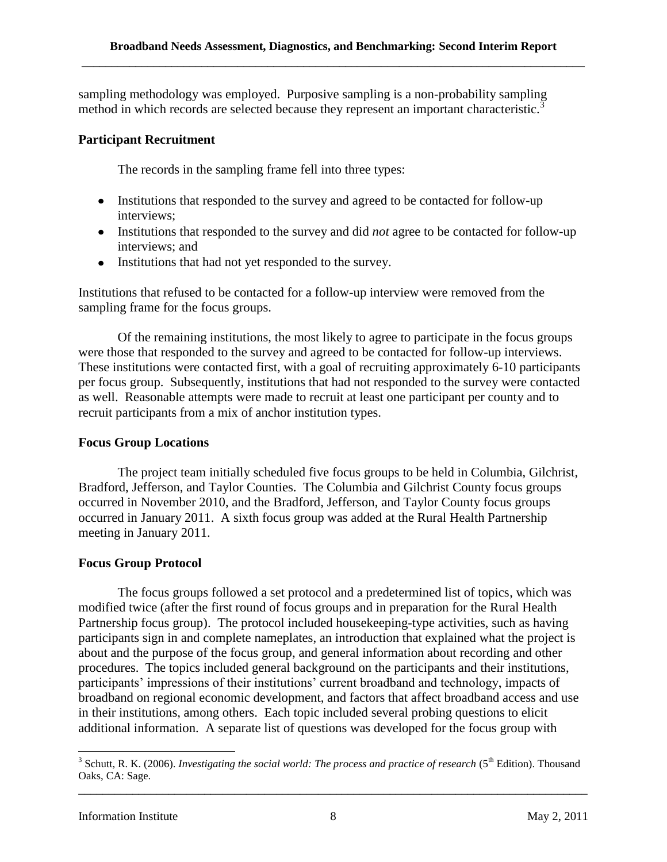sampling methodology was employed. Purposive sampling is a non-probability sampling method in which records are selected because they represent an important characteristic.<sup>3</sup>

## **Participant Recruitment**

The records in the sampling frame fell into three types:

- Institutions that responded to the survey and agreed to be contacted for follow-up interviews;
- Institutions that responded to the survey and did *not* agree to be contacted for follow-up interviews; and
- Institutions that had not yet responded to the survey.

Institutions that refused to be contacted for a follow-up interview were removed from the sampling frame for the focus groups.

Of the remaining institutions, the most likely to agree to participate in the focus groups were those that responded to the survey and agreed to be contacted for follow-up interviews. These institutions were contacted first, with a goal of recruiting approximately 6-10 participants per focus group. Subsequently, institutions that had not responded to the survey were contacted as well. Reasonable attempts were made to recruit at least one participant per county and to recruit participants from a mix of anchor institution types.

## **Focus Group Locations**

The project team initially scheduled five focus groups to be held in Columbia, Gilchrist, Bradford, Jefferson, and Taylor Counties. The Columbia and Gilchrist County focus groups occurred in November 2010, and the Bradford, Jefferson, and Taylor County focus groups occurred in January 2011. A sixth focus group was added at the Rural Health Partnership meeting in January 2011.

## **Focus Group Protocol**

The focus groups followed a set protocol and a predetermined list of topics, which was modified twice (after the first round of focus groups and in preparation for the Rural Health Partnership focus group). The protocol included housekeeping-type activities, such as having participants sign in and complete nameplates, an introduction that explained what the project is about and the purpose of the focus group, and general information about recording and other procedures. The topics included general background on the participants and their institutions, participants' impressions of their institutions' current broadband and technology, impacts of broadband on regional economic development, and factors that affect broadband access and use in their institutions, among others. Each topic included several probing questions to elicit additional information. A separate list of questions was developed for the focus group with

\_\_\_\_\_\_\_\_\_\_\_\_\_\_\_\_\_\_\_\_\_\_\_\_\_\_\_\_\_\_\_\_\_\_\_\_\_\_\_\_\_\_\_\_\_\_\_\_\_\_\_\_\_\_\_\_\_\_\_\_\_\_\_\_\_\_\_\_\_\_\_\_\_\_\_\_\_\_\_\_\_\_\_\_\_ <sup>3</sup> Schutt, R. K. (2006). *Investigating the social world: The process and practice of research* (5<sup>th</sup> Edition). Thousand Oaks, CA: Sage.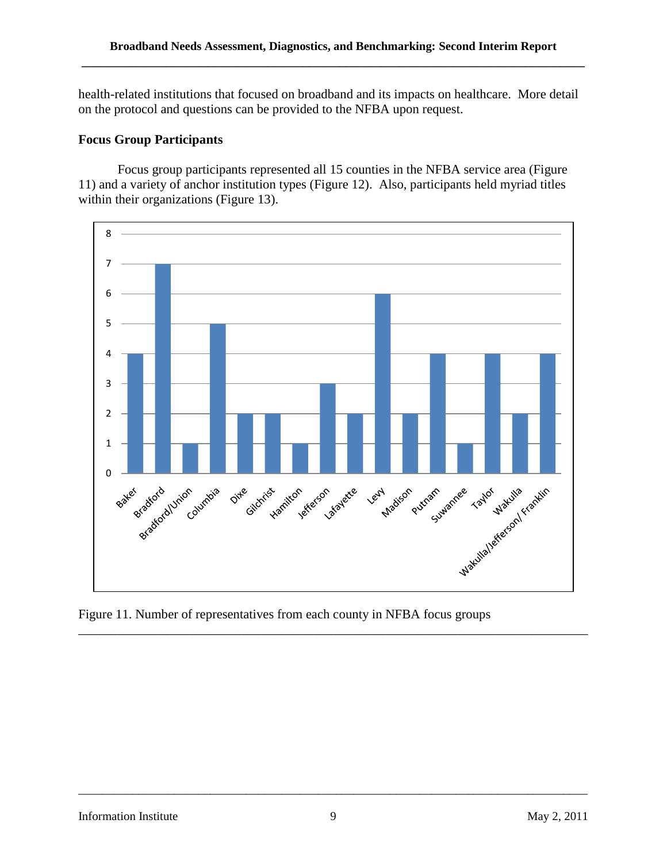health-related institutions that focused on broadband and its impacts on healthcare. More detail on the protocol and questions can be provided to the NFBA upon request.

## **Focus Group Participants**

Focus group participants represented all 15 counties in the NFBA service area (Figure 11) and a variety of anchor institution types (Figure 12). Also, participants held myriad titles within their organizations (Figure 13).



Figure 11. Number of representatives from each county in NFBA focus groups

\_\_\_\_\_\_\_\_\_\_\_\_\_\_\_\_\_\_\_\_\_\_\_\_\_\_\_\_\_\_\_\_\_\_\_\_\_\_\_\_\_\_\_\_\_\_\_\_\_\_\_\_\_\_\_\_\_\_\_\_\_\_\_\_\_\_\_\_\_\_\_\_\_\_\_\_\_\_\_\_\_\_\_\_\_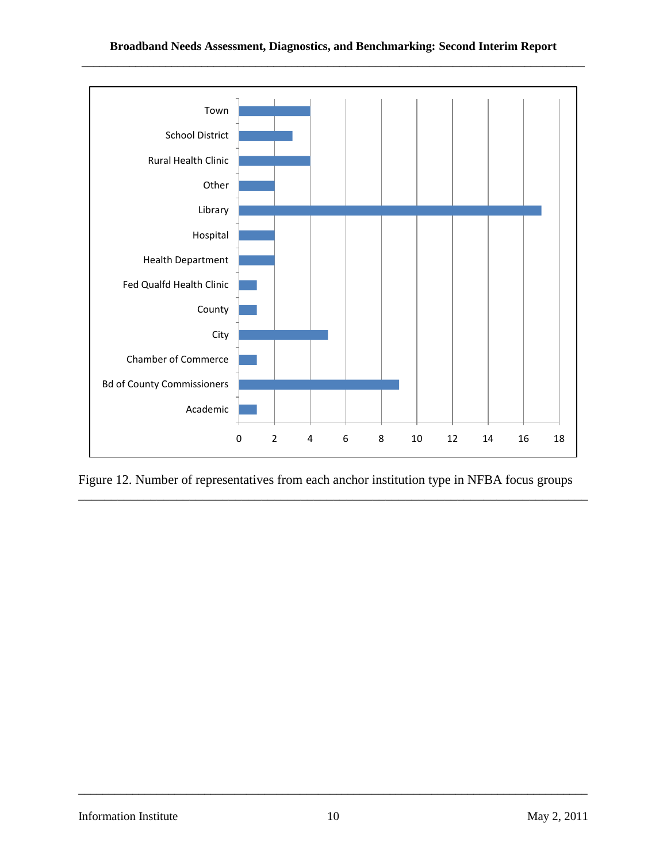

Figure 12. Number of representatives from each anchor institution type in NFBA focus groups

\_\_\_\_\_\_\_\_\_\_\_\_\_\_\_\_\_\_\_\_\_\_\_\_\_\_\_\_\_\_\_\_\_\_\_\_\_\_\_\_\_\_\_\_\_\_\_\_\_\_\_\_\_\_\_\_\_\_\_\_\_\_\_\_\_\_\_\_\_\_\_\_\_\_\_\_\_\_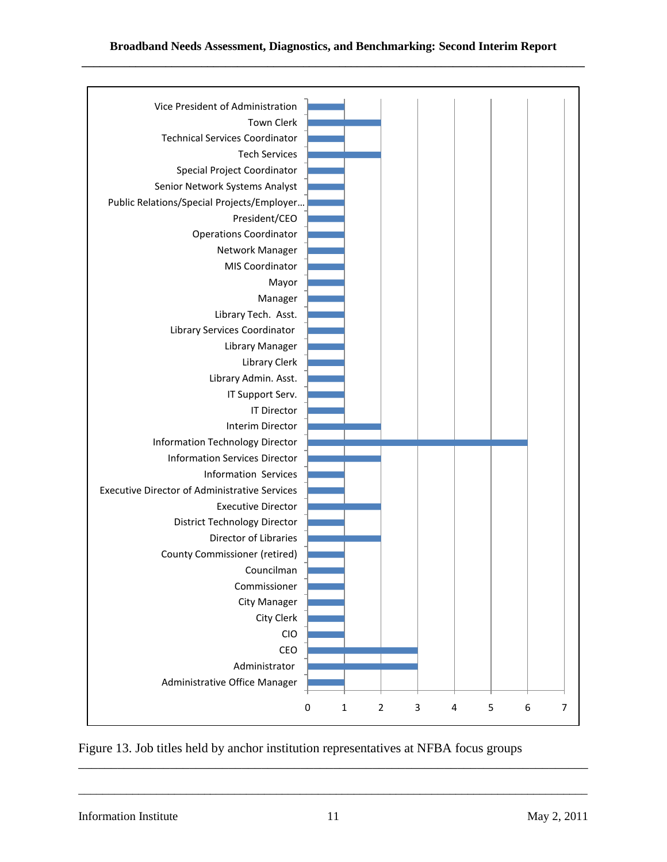

Figure 13. Job titles held by anchor institution representatives at NFBA focus groups

Information Institute 11 May 2, 2011

\_\_\_\_\_\_\_\_\_\_\_\_\_\_\_\_\_\_\_\_\_\_\_\_\_\_\_\_\_\_\_\_\_\_\_\_\_\_\_\_\_\_\_\_\_\_\_\_\_\_\_\_\_\_\_\_\_\_\_\_\_\_\_\_\_\_\_\_\_\_\_\_\_\_\_\_\_\_\_\_\_\_\_\_\_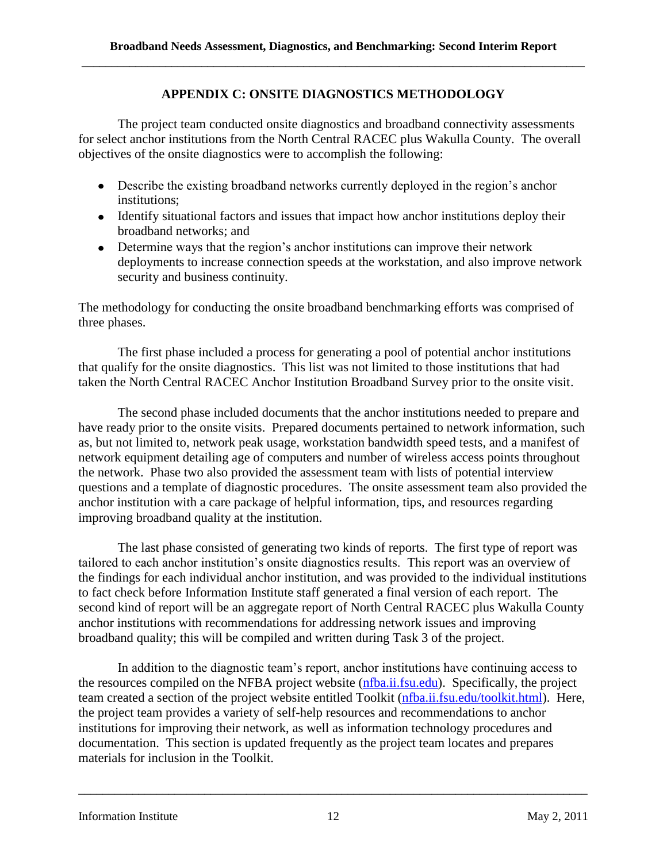## **APPENDIX C: ONSITE DIAGNOSTICS METHODOLOGY**

The project team conducted onsite diagnostics and broadband connectivity assessments for select anchor institutions from the North Central RACEC plus Wakulla County. The overall objectives of the onsite diagnostics were to accomplish the following:

- Describe the existing broadband networks currently deployed in the region's anchor institutions;
- Identify situational factors and issues that impact how anchor institutions deploy their broadband networks; and
- Determine ways that the region's anchor institutions can improve their network deployments to increase connection speeds at the workstation, and also improve network security and business continuity.

The methodology for conducting the onsite broadband benchmarking efforts was comprised of three phases.

The first phase included a process for generating a pool of potential anchor institutions that qualify for the onsite diagnostics. This list was not limited to those institutions that had taken the North Central RACEC Anchor Institution Broadband Survey prior to the onsite visit.

The second phase included documents that the anchor institutions needed to prepare and have ready prior to the onsite visits. Prepared documents pertained to network information, such as, but not limited to, network peak usage, workstation bandwidth speed tests, and a manifest of network equipment detailing age of computers and number of wireless access points throughout the network. Phase two also provided the assessment team with lists of potential interview questions and a template of diagnostic procedures. The onsite assessment team also provided the anchor institution with a care package of helpful information, tips, and resources regarding improving broadband quality at the institution.

The last phase consisted of generating two kinds of reports. The first type of report was tailored to each anchor institution's onsite diagnostics results. This report was an overview of the findings for each individual anchor institution, and was provided to the individual institutions to fact check before Information Institute staff generated a final version of each report. The second kind of report will be an aggregate report of North Central RACEC plus Wakulla County anchor institutions with recommendations for addressing network issues and improving broadband quality; this will be compiled and written during Task 3 of the project.

In addition to the diagnostic team's report, anchor institutions have continuing access to the resources compiled on the NFBA project website [\(nfba.ii.fsu.edu\)](file://128.186.72.12/II/II/NFBA%202010/Diagnostics/nfba.ii.fsu.edu). Specifically, the project team created a section of the project website entitled Toolkit [\(nfba.ii.fsu.edu/toolkit.html\)](file://128.186.72.12/II/II/NFBA%202010/Diagnostics/nfba.ii.fsu.edu/toolkit.html). Here, the project team provides a variety of self-help resources and recommendations to anchor institutions for improving their network, as well as information technology procedures and documentation. This section is updated frequently as the project team locates and prepares materials for inclusion in the Toolkit.